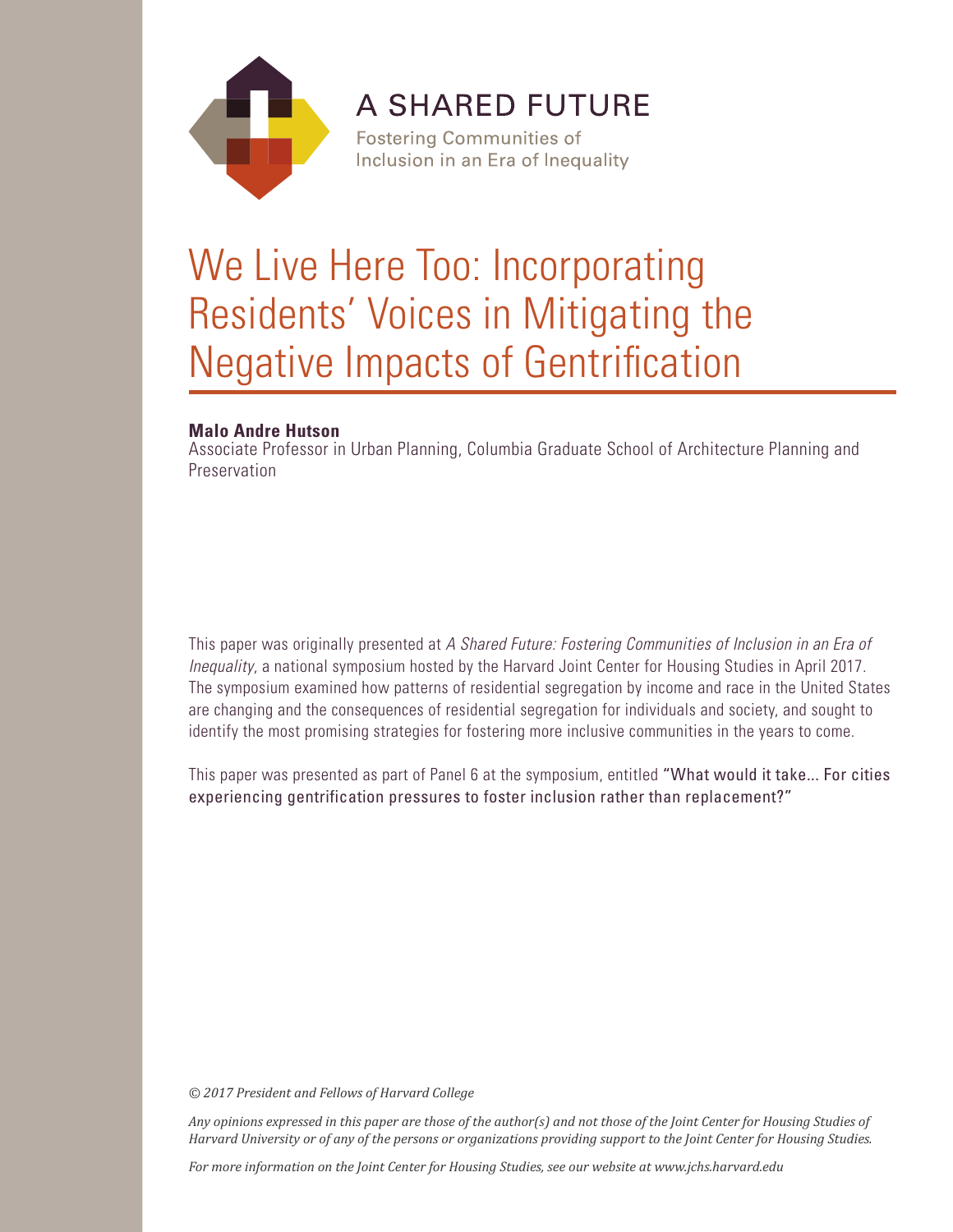

**A SHARED FUTURE** 

**Fostering Communities of** Inclusion in an Era of Inequality

# We Live Here Too: Incorporating Residents' Voices in Mitigating the Negative Impacts of Gentrification

# **Malo Andre Hutson**

Associate Professor in Urban Planning, Columbia Graduate School of Architecture Planning and Preservation

This paper was originally presented at *A Shared Future: Fostering Communities of Inclusion in an Era of Inequality*, a national symposium hosted by the Harvard Joint Center for Housing Studies in April 2017. The symposium examined how patterns of residential segregation by income and race in the United States are changing and the consequences of residential segregation for individuals and society, and sought to identify the most promising strategies for fostering more inclusive communities in the years to come.

This paper was presented as part of Panel 6 at the symposium, entitled "What would it take... For cities experiencing gentrification pressures to foster inclusion rather than replacement?"

*© 2017 President and Fellows of Harvard College*

*Any opinions expressed in this paper are those of the author(s) and not those of the Joint Center for Housing Studies of Harvard University or of any of the persons or organizations providing support to the Joint Center for Housing Studies.* 

*For more information on the Joint Center for Housing Studies, see our website at www.jchs.harvard.edu*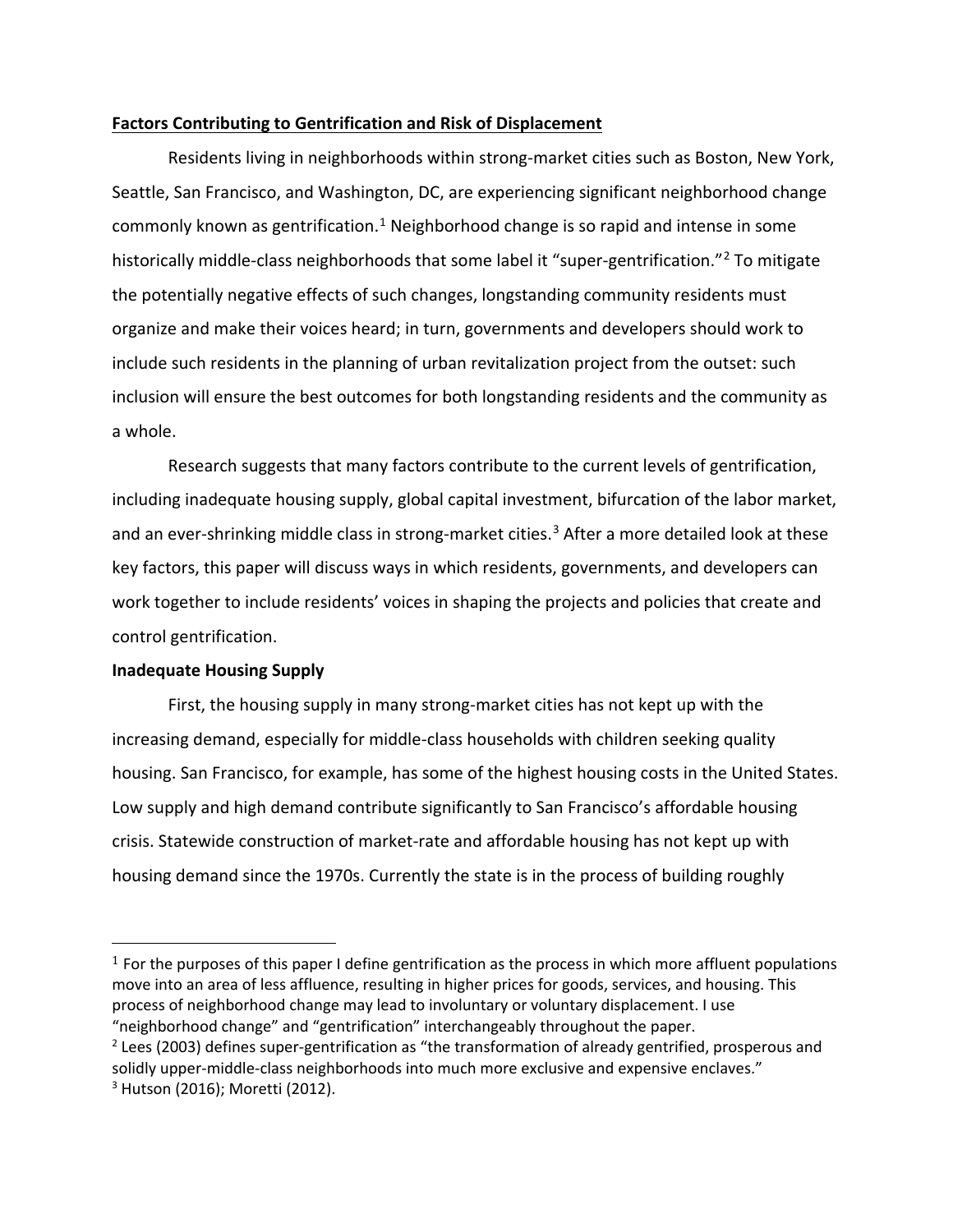## **Factors Contributing to Gentrification and Risk of Displacement**

Residents living in neighborhoods within strong-market cities such as Boston, New York, Seattle, San Francisco, and Washington, DC, are experiencing significant neighborhood change commonly known as gentrification.<sup>[1](#page-2-0)</sup> Neighborhood change is so rapid and intense in some historically middle-class neighborhoods that some label it "super-gentrification."[2](#page-2-1) To mitigate the potentially negative effects of such changes, longstanding community residents must organize and make their voices heard; in turn, governments and developers should work to include such residents in the planning of urban revitalization project from the outset: such inclusion will ensure the best outcomes for both longstanding residents and the community as a whole.

Research suggests that many factors contribute to the current levels of gentrification, including inadequate housing supply, global capital investment, bifurcation of the labor market, and an ever-shrinking middle class in strong-market cities. [3](#page-2-2) After a more detailed look at these key factors, this paper will discuss ways in which residents, governments, and developers can work together to include residents' voices in shaping the projects and policies that create and control gentrification.

## **Inadequate Housing Supply**

l

First, the housing supply in many strong-market cities has not kept up with the increasing demand, especially for middle-class households with children seeking quality housing. San Francisco, for example, has some of the highest housing costs in the United States. Low supply and high demand contribute significantly to San Francisco's affordable housing crisis. Statewide construction of market-rate and affordable housing has not kept up with housing demand since the 1970s. Currently the state is in the process of building roughly

<span id="page-2-0"></span> $<sup>1</sup>$  For the purposes of this paper I define gentrification as the process in which more affluent populations</sup> move into an area of less affluence, resulting in higher prices for goods, services, and housing. This process of neighborhood change may lead to involuntary or voluntary displacement. I use "neighborhood change" and "gentrification" interchangeably throughout the paper.

<span id="page-2-2"></span><span id="page-2-1"></span> $<sup>2</sup>$  Lees (2003) defines super-gentrification as "the transformation of already gentrified, prosperous and</sup> solidly upper-middle-class neighborhoods into much more exclusive and expensive enclaves." <sup>3</sup> Hutson (2016); Moretti (2012).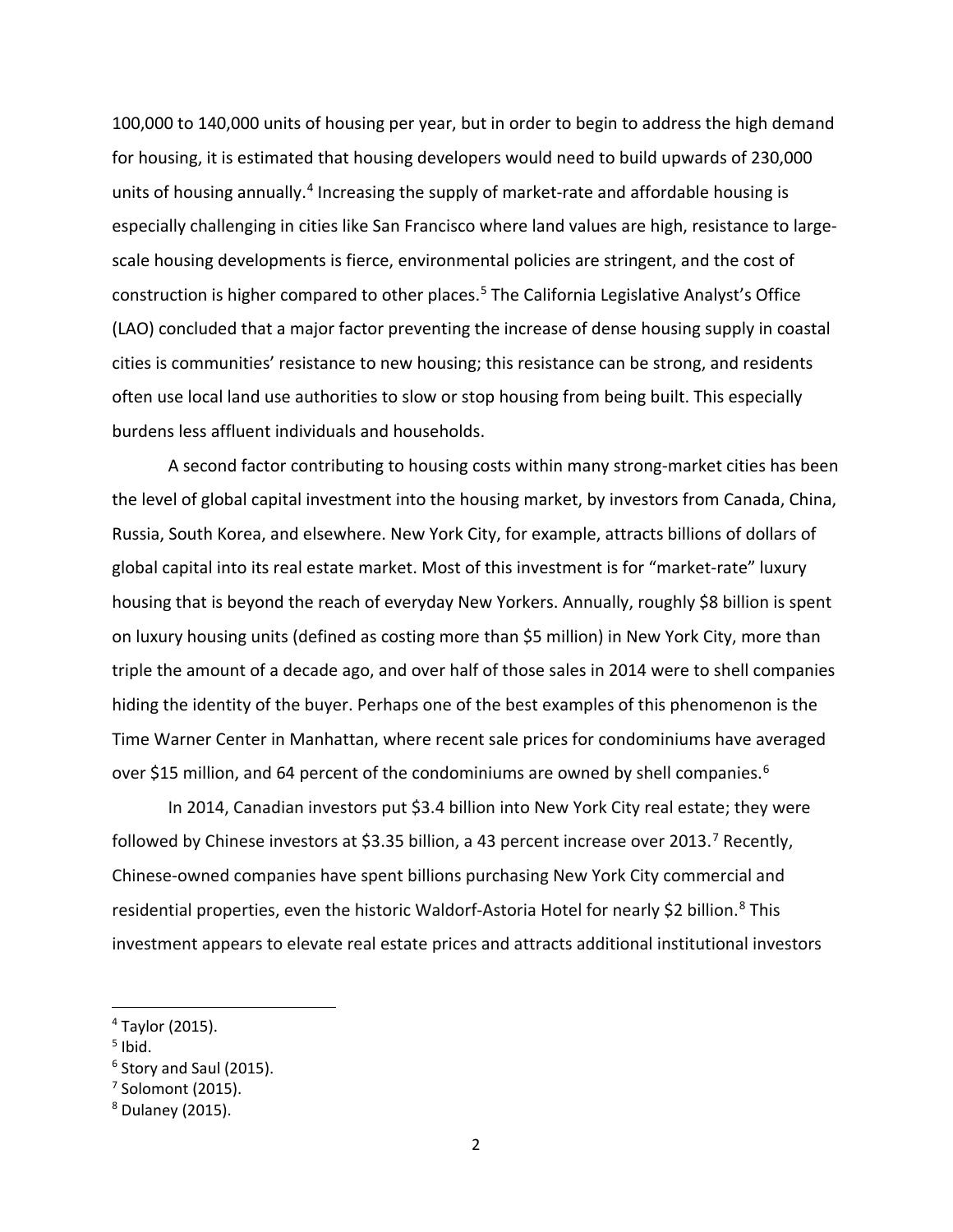100,000 to 140,000 units of housing per year, but in order to begin to address the high demand for housing, it is estimated that housing developers would need to build upwards of 230,000 units of housing annually.<sup>[4](#page-3-0)</sup> Increasing the supply of market-rate and affordable housing is especially challenging in cities like San Francisco where land values are high, resistance to largescale housing developments is fierce, environmental policies are stringent, and the cost of construction is higher compared to other places. [5](#page-3-1) The California Legislative Analyst's Office (LAO) concluded that a major factor preventing the increase of dense housing supply in coastal cities is communities' resistance to new housing; this resistance can be strong, and residents often use local land use authorities to slow or stop housing from being built. This especially burdens less affluent individuals and households.

A second factor contributing to housing costs within many strong-market cities has been the level of global capital investment into the housing market, by investors from Canada, China, Russia, South Korea, and elsewhere. New York City, for example, attracts billions of dollars of global capital into its real estate market. Most of this investment is for "market-rate" luxury housing that is beyond the reach of everyday New Yorkers. Annually, roughly \$8 billion is spent on luxury housing units (defined as costing more than \$5 million) in New York City, more than triple the amount of a decade ago, and over half of those sales in 2014 were to shell companies hiding the identity of the buyer. Perhaps one of the best examples of this phenomenon is the Time Warner Center in Manhattan, where recent sale prices for condominiums have averaged over \$15 million, and [6](#page-3-2)4 percent of the condominiums are owned by shell companies.<sup>6</sup>

In 2014, Canadian investors put \$3.4 billion into New York City real estate; they were followed by Chinese investors at \$3.35 billion, a 43 percent increase over 2013.<sup>[7](#page-3-3)</sup> Recently, Chinese-owned companies have spent billions purchasing New York City commercial and residential properties, even the historic Waldorf-Astoria Hotel for nearly \$2 billion.<sup>[8](#page-3-4)</sup> This investment appears to elevate real estate prices and attracts additional institutional investors

<span id="page-3-0"></span> <sup>4</sup> Taylor (2015).

<span id="page-3-1"></span> $<sup>5</sup>$  Ibid.</sup>

<span id="page-3-2"></span><sup>&</sup>lt;sup>6</sup> Story and Saul (2015).

<span id="page-3-3"></span> $<sup>7</sup>$  Solomont (2015).</sup>

<span id="page-3-4"></span><sup>8</sup> Dulaney (2015).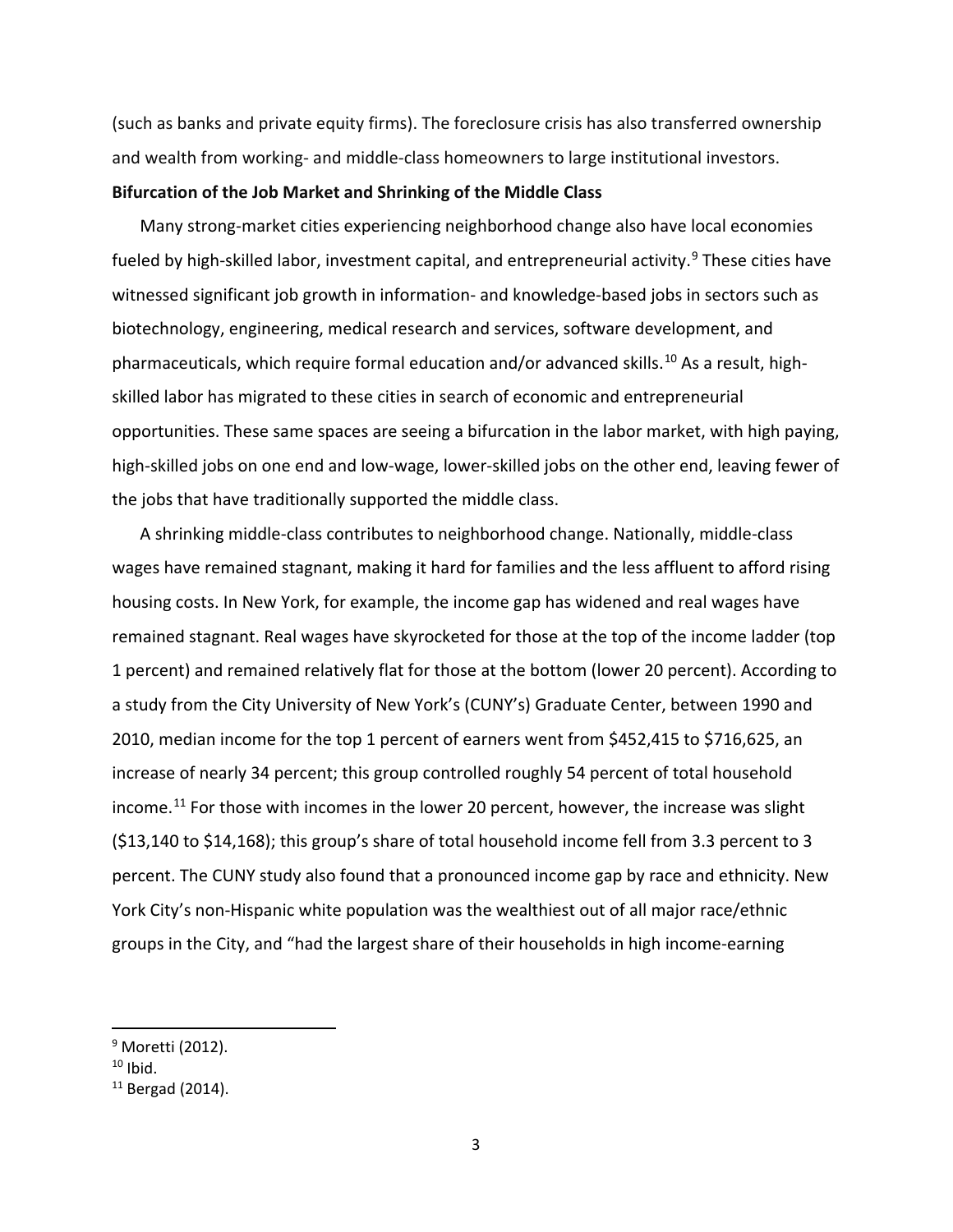(such as banks and private equity firms). The foreclosure crisis has also transferred ownership and wealth from working- and middle-class homeowners to large institutional investors.

## **Bifurcation of the Job Market and Shrinking of the Middle Class**

Many strong-market cities experiencing neighborhood change also have local economies fueled by high-skilled labor, investment capital, and entrepreneurial activity.<sup>[9](#page-4-0)</sup> These cities have witnessed significant job growth in information- and knowledge-based jobs in sectors such as biotechnology, engineering, medical research and services, software development, and pharmaceuticals, which require formal education and/or advanced skills.<sup>[10](#page-4-1)</sup> As a result, highskilled labor has migrated to these cities in search of economic and entrepreneurial opportunities. These same spaces are seeing a bifurcation in the labor market, with high paying, high-skilled jobs on one end and low-wage, lower-skilled jobs on the other end, leaving fewer of the jobs that have traditionally supported the middle class.

A shrinking middle-class contributes to neighborhood change. Nationally, middle-class wages have remained stagnant, making it hard for families and the less affluent to afford rising housing costs. In New York, for example, the income gap has widened and real wages have remained stagnant. Real wages have skyrocketed for those at the top of the income ladder (top 1 percent) and remained relatively flat for those at the bottom (lower 20 percent). According to a study from the City University of New York's (CUNY's) Graduate Center, between 1990 and 2010, median income for the top 1 percent of earners went from \$452,415 to \$716,625, an increase of nearly 34 percent; this group controlled roughly 54 percent of total household income. [11](#page-4-2) For those with incomes in the lower 20 percent, however, the increase was slight (\$13,140 to \$14,168); this group's share of total household income fell from 3.3 percent to 3 percent. The CUNY study also found that a pronounced income gap by race and ethnicity. New York City's non-Hispanic white population was the wealthiest out of all major race/ethnic groups in the City, and "had the largest share of their households in high income-earning

<span id="page-4-0"></span><sup>&</sup>lt;sup>9</sup> Moretti (2012).

<span id="page-4-1"></span> $10$  Ibid.

<span id="page-4-2"></span> $11$  Bergad (2014).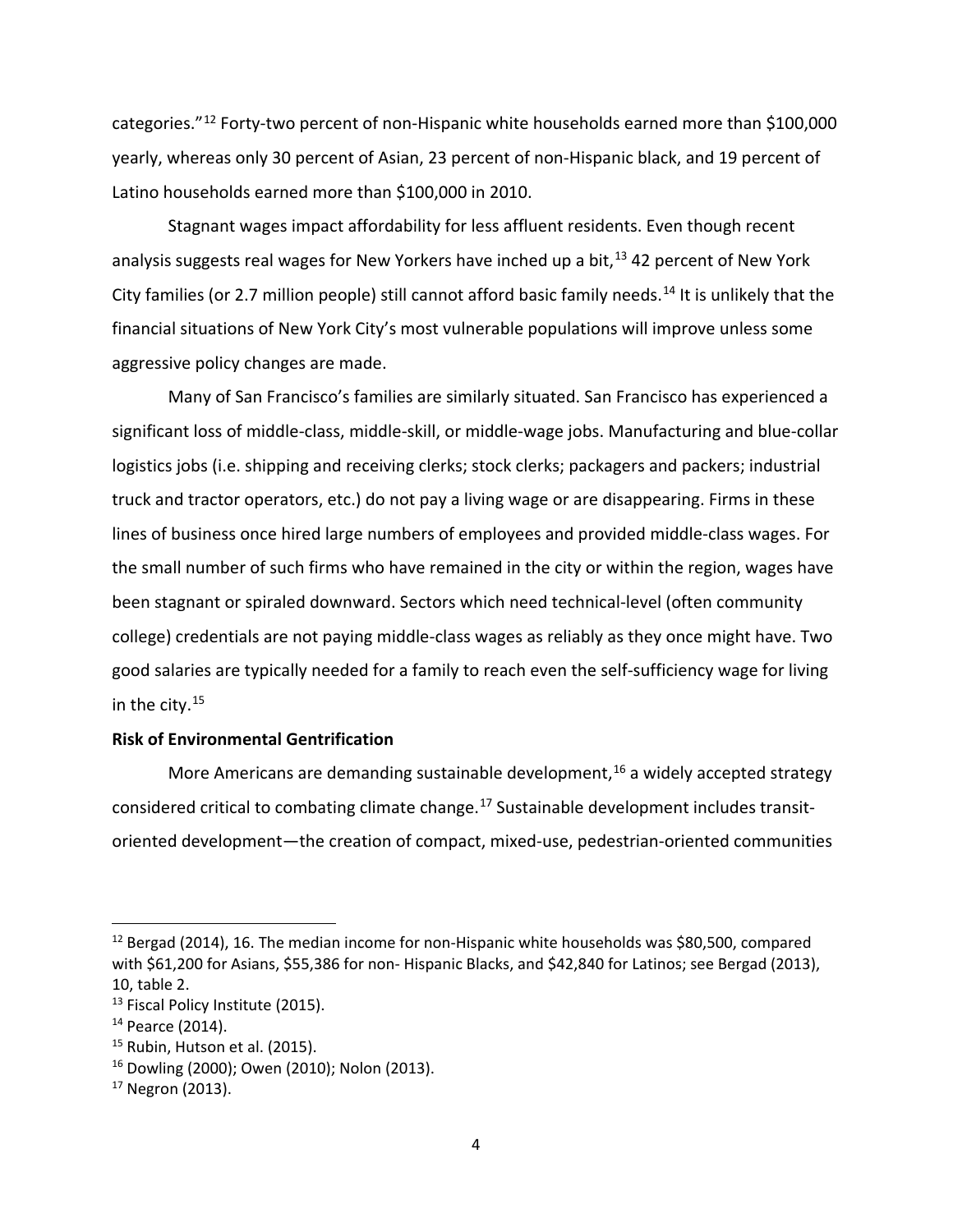categories."[12](#page-5-0) Forty-two percent of non-Hispanic white households earned more than \$100,000 yearly, whereas only 30 percent of Asian, 23 percent of non-Hispanic black, and 19 percent of Latino households earned more than \$100,000 in 2010.

Stagnant wages impact affordability for less affluent residents. Even though recent analysis suggests real wages for New Yorkers have inched up a bit,<sup>[13](#page-5-1)</sup> 42 percent of New York City families (or 2.7 million people) still cannot afford basic family needs.<sup>[14](#page-5-2)</sup> It is unlikely that the financial situations of New York City's most vulnerable populations will improve unless some aggressive policy changes are made.

Many of San Francisco's families are similarly situated. San Francisco has experienced a significant loss of middle-class, middle-skill, or middle-wage jobs. Manufacturing and blue-collar logistics jobs (i.e. shipping and receiving clerks; stock clerks; packagers and packers; industrial truck and tractor operators, etc.) do not pay a living wage or are disappearing. Firms in these lines of business once hired large numbers of employees and provided middle-class wages. For the small number of such firms who have remained in the city or within the region, wages have been stagnant or spiraled downward. Sectors which need technical-level (often community college) credentials are not paying middle-class wages as reliably as they once might have. Two good salaries are typically needed for a family to reach even the self-sufficiency wage for living in the city.<sup>[15](#page-5-3)</sup>

## **Risk of Environmental Gentrification**

More Americans are demanding sustainable development, <sup>[16](#page-5-4)</sup> a widely accepted strategy considered critical to combating climate change. [17](#page-5-5) Sustainable development includes transitoriented development—the creation of compact, mixed-use, pedestrian-oriented communities

<span id="page-5-0"></span> $12$  Bergad (2014), 16. The median income for non-Hispanic white households was \$80,500, compared with \$61,200 for Asians, \$55,386 for non- Hispanic Blacks, and \$42,840 for Latinos; see Bergad (2013), 10, table 2.

<span id="page-5-1"></span><sup>&</sup>lt;sup>13</sup> Fiscal Policy Institute (2015).

<span id="page-5-2"></span><sup>14</sup> Pearce (2014).

<span id="page-5-3"></span> $<sup>15</sup>$  Rubin, Hutson et al. (2015).</sup>

<span id="page-5-4"></span><sup>16</sup> Dowling (2000); Owen (2010); Nolon (2013).

<span id="page-5-5"></span><sup>&</sup>lt;sup>17</sup> Negron (2013).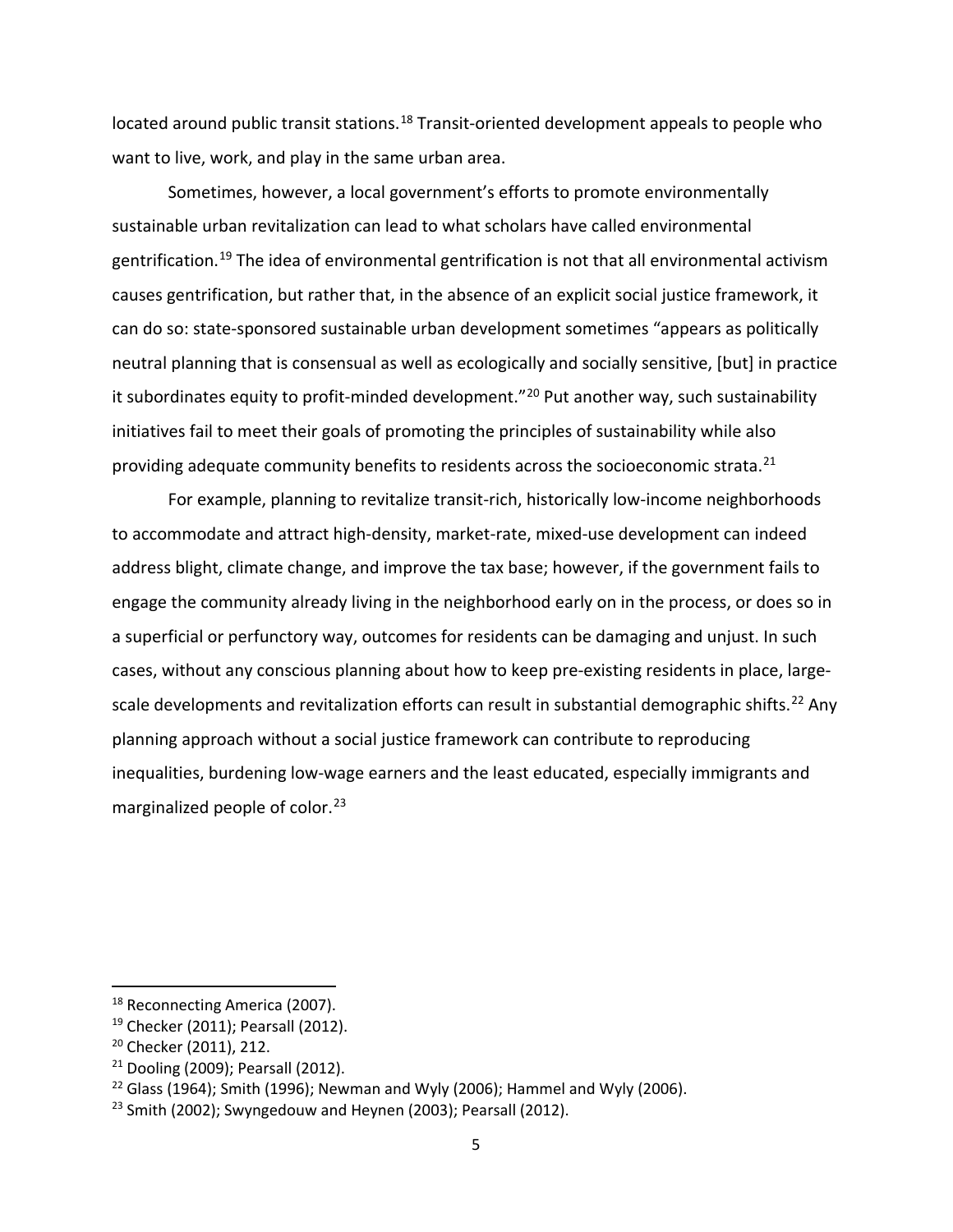located around public transit stations.<sup>[18](#page-6-0)</sup> Transit-oriented development appeals to people who want to live, work, and play in the same urban area.

Sometimes, however, a local government's efforts to promote environmentally sustainable urban revitalization can lead to what scholars have called environmental gentrification.<sup>[19](#page-6-1)</sup> The idea of environmental gentrification is not that all environmental activism causes gentrification, but rather that, in the absence of an explicit social justice framework, it can do so: state-sponsored sustainable urban development sometimes "appears as politically neutral planning that is consensual as well as ecologically and socially sensitive, [but] in practice it subordinates equity to profit-minded development."<sup>[20](#page-6-2)</sup> Put another way, such sustainability initiatives fail to meet their goals of promoting the principles of sustainability while also providing adequate community benefits to residents across the socioeconomic strata.<sup>[21](#page-6-3)</sup>

For example, planning to revitalize transit-rich, historically low-income neighborhoods to accommodate and attract high-density, market-rate, mixed-use development can indeed address blight, climate change, and improve the tax base; however, if the government fails to engage the community already living in the neighborhood early on in the process, or does so in a superficial or perfunctory way, outcomes for residents can be damaging and unjust. In such cases, without any conscious planning about how to keep pre-existing residents in place, large-scale developments and revitalization efforts can result in substantial demographic shifts.<sup>[22](#page-6-4)</sup> Any planning approach without a social justice framework can contribute to reproducing inequalities, burdening low-wage earners and the least educated, especially immigrants and marginalized people of color. [23](#page-6-5)

<span id="page-6-0"></span><sup>&</sup>lt;sup>18</sup> Reconnecting America (2007).

<span id="page-6-1"></span><sup>&</sup>lt;sup>19</sup> Checker (2011); Pearsall (2012).

<span id="page-6-2"></span><sup>&</sup>lt;sup>20</sup> Checker (2011), 212.

<span id="page-6-3"></span><sup>21</sup> Dooling (2009); Pearsall (2012).

<span id="page-6-4"></span><sup>&</sup>lt;sup>22</sup> Glass (1964); Smith (1996); Newman and Wyly (2006); Hammel and Wyly (2006).

<span id="page-6-5"></span> $23$  Smith (2002); Swyngedouw and Heynen (2003); Pearsall (2012).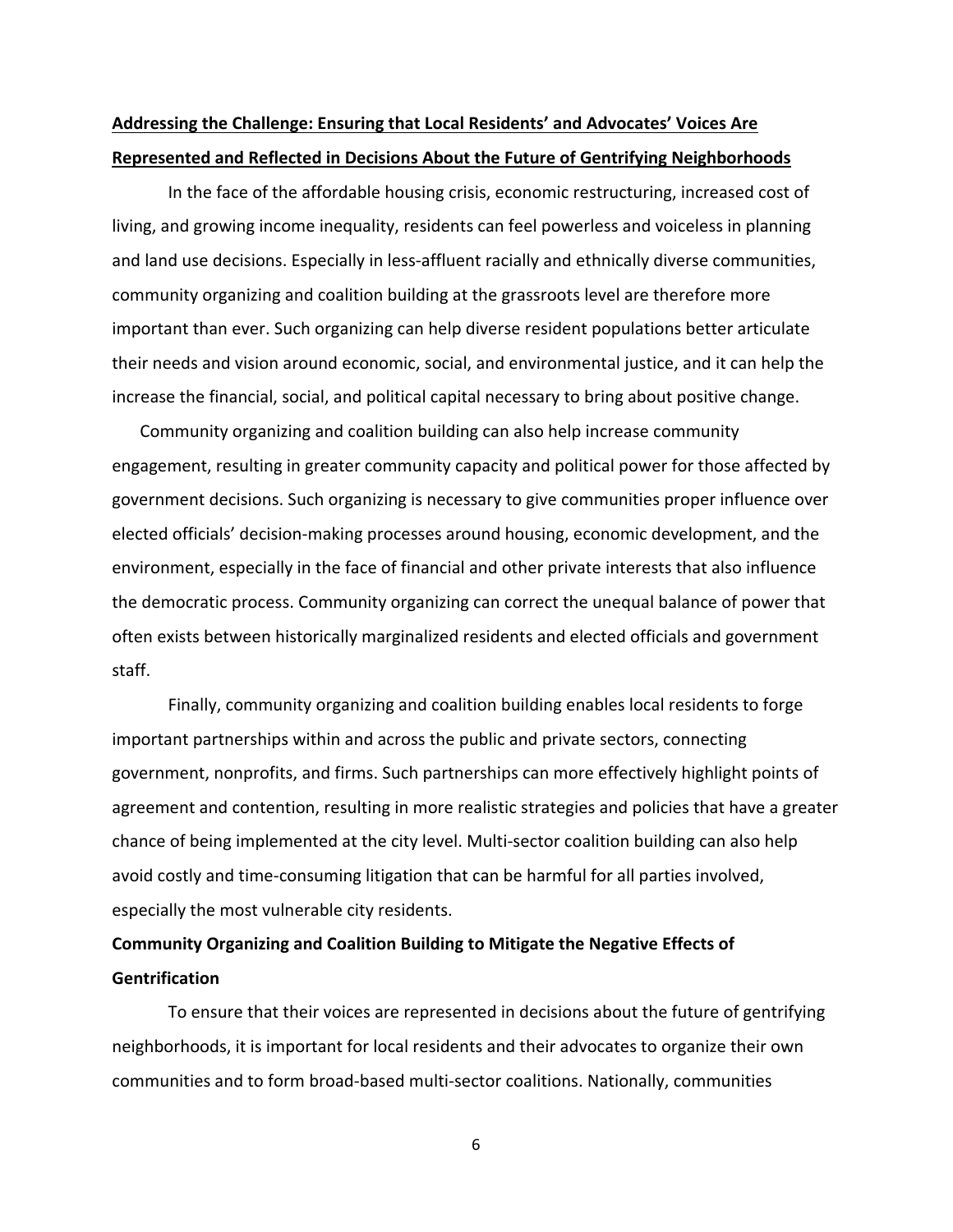# **Addressing the Challenge: Ensuring that Local Residents' and Advocates' Voices Are Represented and Reflected in Decisions About the Future of Gentrifying Neighborhoods**

In the face of the affordable housing crisis, economic restructuring, increased cost of living, and growing income inequality, residents can feel powerless and voiceless in planning and land use decisions. Especially in less-affluent racially and ethnically diverse communities, community organizing and coalition building at the grassroots level are therefore more important than ever. Such organizing can help diverse resident populations better articulate their needs and vision around economic, social, and environmental justice, and it can help the increase the financial, social, and political capital necessary to bring about positive change.

Community organizing and coalition building can also help increase community engagement, resulting in greater community capacity and political power for those affected by government decisions. Such organizing is necessary to give communities proper influence over elected officials' decision-making processes around housing, economic development, and the environment, especially in the face of financial and other private interests that also influence the democratic process. Community organizing can correct the unequal balance of power that often exists between historically marginalized residents and elected officials and government staff.

Finally, community organizing and coalition building enables local residents to forge important partnerships within and across the public and private sectors, connecting government, nonprofits, and firms. Such partnerships can more effectively highlight points of agreement and contention, resulting in more realistic strategies and policies that have a greater chance of being implemented at the city level. Multi-sector coalition building can also help avoid costly and time-consuming litigation that can be harmful for all parties involved, especially the most vulnerable city residents.

# **Community Organizing and Coalition Building to Mitigate the Negative Effects of Gentrification**

To ensure that their voices are represented in decisions about the future of gentrifying neighborhoods, it is important for local residents and their advocates to organize their own communities and to form broad-based multi-sector coalitions. Nationally, communities

6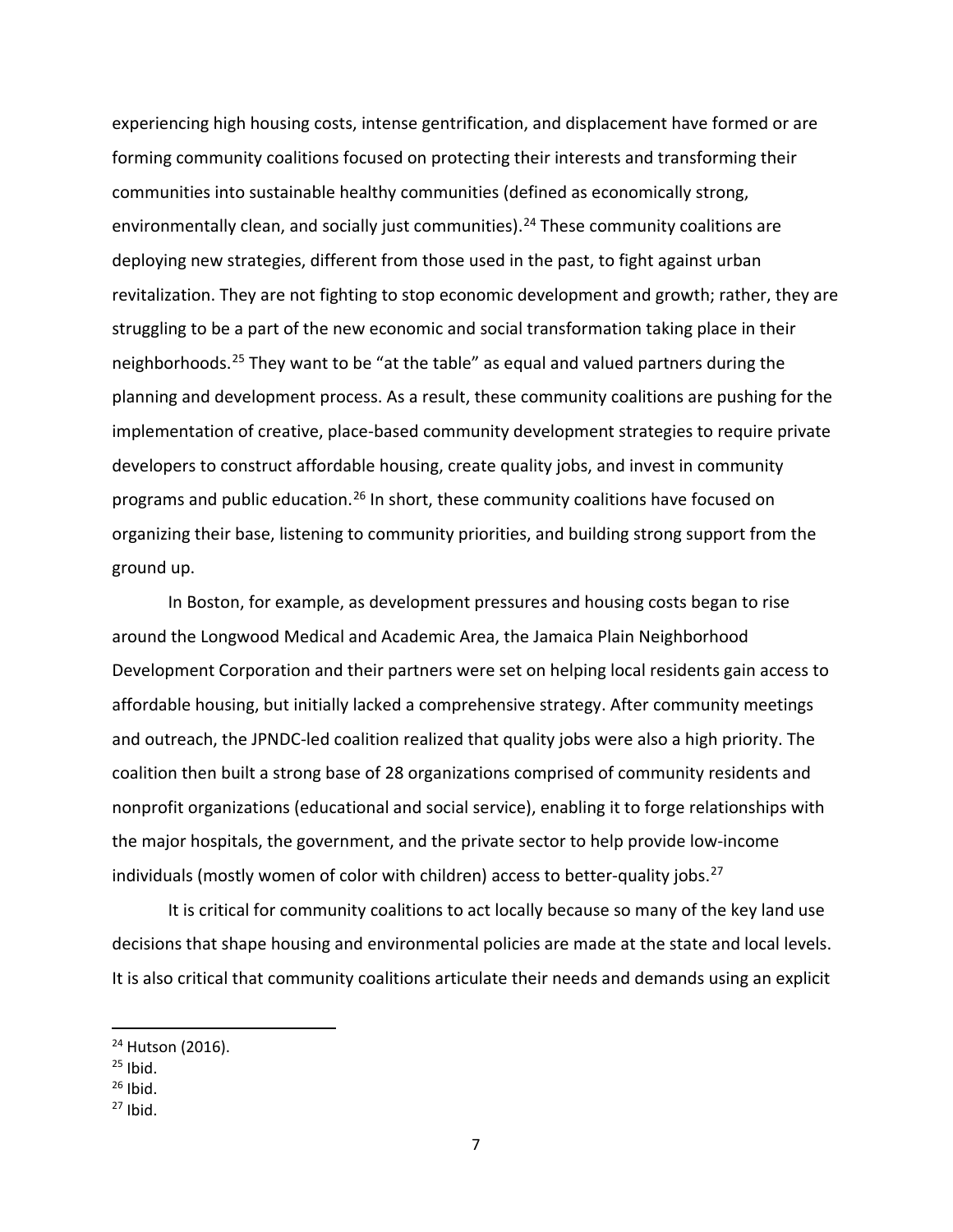experiencing high housing costs, intense gentrification, and displacement have formed or are forming community coalitions focused on protecting their interests and transforming their communities into sustainable healthy communities (defined as economically strong, environmentally clean, and socially just communities).<sup>[24](#page-8-0)</sup> These community coalitions are deploying new strategies, different from those used in the past, to fight against urban revitalization. They are not fighting to stop economic development and growth; rather, they are struggling to be a part of the new economic and social transformation taking place in their neighborhoods. [25](#page-8-1) They want to be "at the table" as equal and valued partners during the planning and development process. As a result, these community coalitions are pushing for the implementation of creative, place-based community development strategies to require private developers to construct affordable housing, create quality jobs, and invest in community programs and public education.<sup>[26](#page-8-2)</sup> In short, these community coalitions have focused on organizing their base, listening to community priorities, and building strong support from the ground up.

In Boston, for example, as development pressures and housing costs began to rise around the Longwood Medical and Academic Area, the Jamaica Plain Neighborhood Development Corporation and their partners were set on helping local residents gain access to affordable housing, but initially lacked a comprehensive strategy. After community meetings and outreach, the JPNDC-led coalition realized that quality jobs were also a high priority. The coalition then built a strong base of 28 organizations comprised of community residents and nonprofit organizations (educational and social service), enabling it to forge relationships with the major hospitals, the government, and the private sector to help provide low-income individuals (mostly women of color with children) access to better-quality jobs.<sup>[27](#page-8-3)</sup>

It is critical for community coalitions to act locally because so many of the key land use decisions that shape housing and environmental policies are made at the state and local levels. It is also critical that community coalitions articulate their needs and demands using an explicit

- <span id="page-8-2"></span> $26$  Ibid.
- <span id="page-8-3"></span> $27$  Ibid.

<span id="page-8-0"></span><sup>&</sup>lt;sup>24</sup> Hutson (2016).

<span id="page-8-1"></span> $25$  Ibid.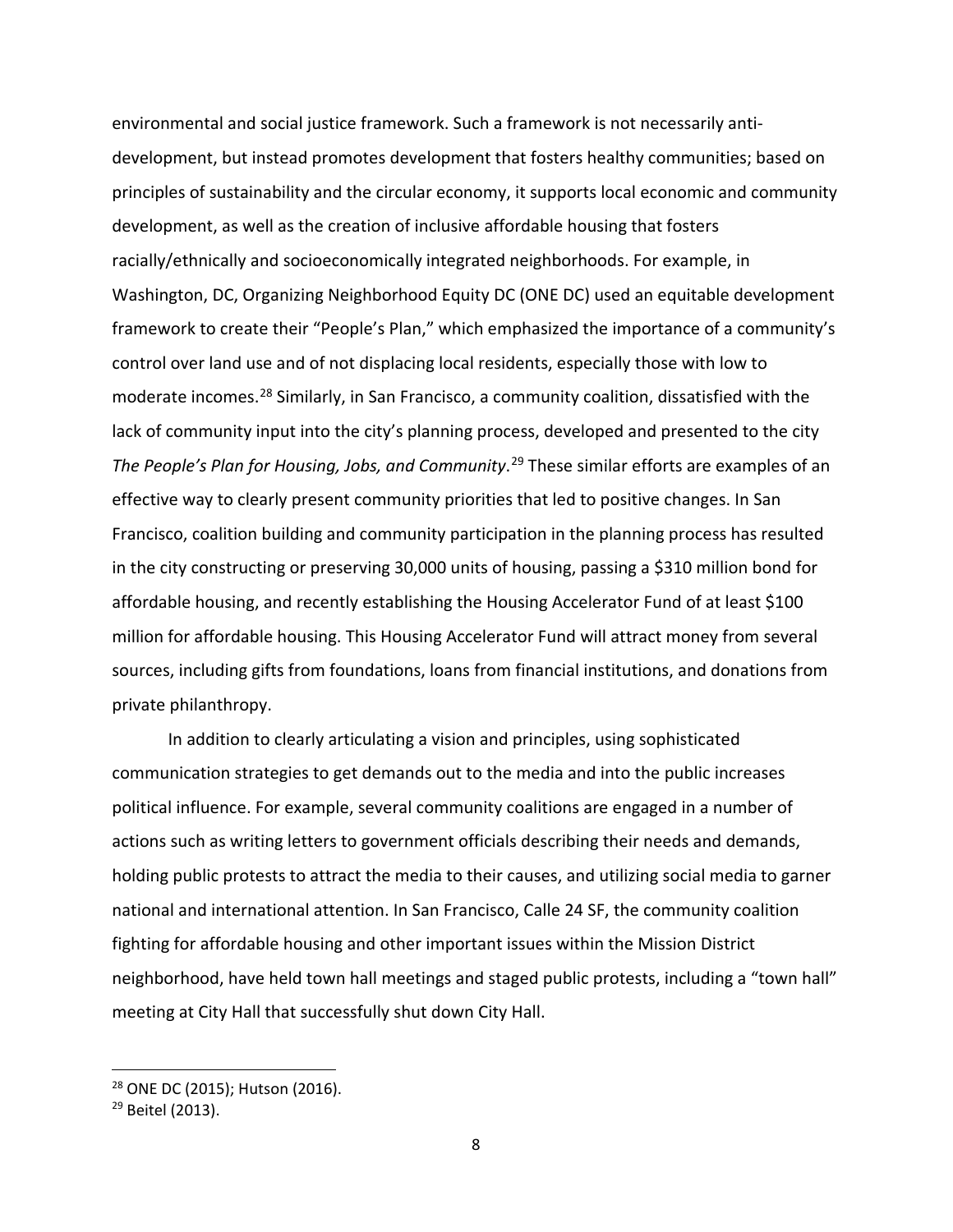environmental and social justice framework. Such a framework is not necessarily antidevelopment, but instead promotes development that fosters healthy communities; based on principles of sustainability and the circular economy, it supports local economic and community development, as well as the creation of inclusive affordable housing that fosters racially/ethnically and socioeconomically integrated neighborhoods. For example, in Washington, DC, Organizing Neighborhood Equity DC (ONE DC) used an equitable development framework to create their "People's Plan," which emphasized the importance of a community's control over land use and of not displacing local residents, especially those with low to moderate incomes. [28](#page-9-0) Similarly, in San Francisco, a community coalition, dissatisfied with the lack of community input into the city's planning process, developed and presented to the city The People's Plan for Housing, Jobs, and Community.<sup>[29](#page-9-1)</sup> These similar efforts are examples of an effective way to clearly present community priorities that led to positive changes. In San Francisco, coalition building and community participation in the planning process has resulted in the city constructing or preserving 30,000 units of housing, passing a \$310 million bond for affordable housing, and recently establishing the Housing Accelerator Fund of at least \$100 million for affordable housing. This Housing Accelerator Fund will attract money from several sources, including gifts from foundations, loans from financial institutions, and donations from private philanthropy.

In addition to clearly articulating a vision and principles, using sophisticated communication strategies to get demands out to the media and into the public increases political influence. For example, several community coalitions are engaged in a number of actions such as writing letters to government officials describing their needs and demands, holding public protests to attract the media to their causes, and utilizing social media to garner national and international attention. In San Francisco, Calle 24 SF, the community coalition fighting for affordable housing and other important issues within the Mission District neighborhood, have held town hall meetings and staged public protests, including a "town hall" meeting at City Hall that successfully shut down City Hall.

<span id="page-9-0"></span> <sup>28</sup> ONE DC (2015); Hutson (2016).

<span id="page-9-1"></span><sup>&</sup>lt;sup>29</sup> Beitel (2013).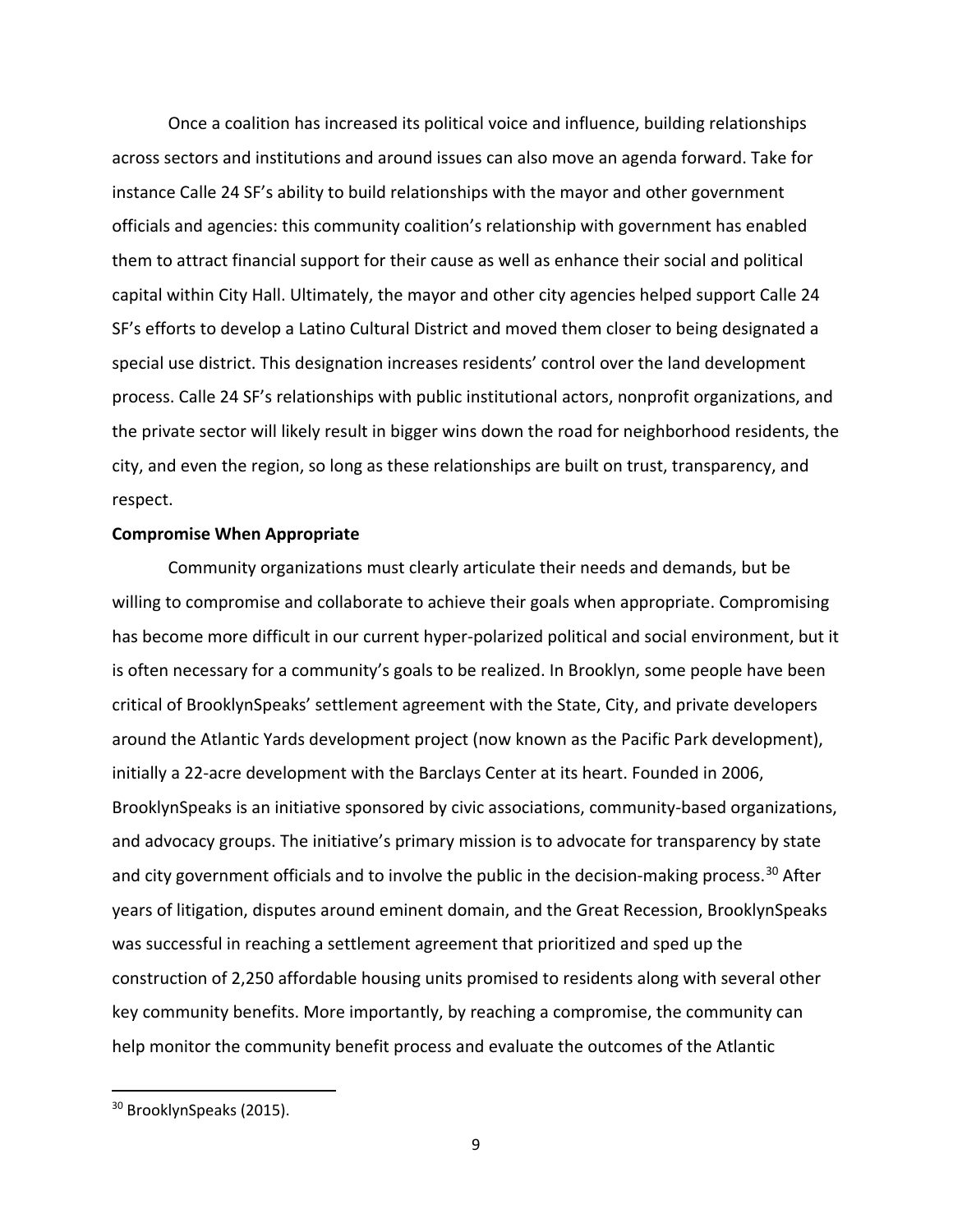Once a coalition has increased its political voice and influence, building relationships across sectors and institutions and around issues can also move an agenda forward. Take for instance Calle 24 SF's ability to build relationships with the mayor and other government officials and agencies: this community coalition's relationship with government has enabled them to attract financial support for their cause as well as enhance their social and political capital within City Hall. Ultimately, the mayor and other city agencies helped support Calle 24 SF's efforts to develop a Latino Cultural District and moved them closer to being designated a special use district. This designation increases residents' control over the land development process. Calle 24 SF's relationships with public institutional actors, nonprofit organizations, and the private sector will likely result in bigger wins down the road for neighborhood residents, the city, and even the region, so long as these relationships are built on trust, transparency, and respect.

#### **Compromise When Appropriate**

Community organizations must clearly articulate their needs and demands, but be willing to compromise and collaborate to achieve their goals when appropriate. Compromising has become more difficult in our current hyper-polarized political and social environment, but it is often necessary for a community's goals to be realized. In Brooklyn, some people have been critical of BrooklynSpeaks' settlement agreement with the State, City, and private developers around the Atlantic Yards development project (now known as the Pacific Park development), initially a 22-acre development with the Barclays Center at its heart. Founded in 2006, BrooklynSpeaks is an initiative sponsored by civic associations, community-based organizations, and advocacy groups. The initiative's primary mission is to advocate for transparency by state and city government officials and to involve the public in the decision-making process.<sup>[30](#page-10-0)</sup> After years of litigation, disputes around eminent domain, and the Great Recession, BrooklynSpeaks was successful in reaching a settlement agreement that prioritized and sped up the construction of 2,250 affordable housing units promised to residents along with several other key community benefits. More importantly, by reaching a compromise, the community can help monitor the community benefit process and evaluate the outcomes of the Atlantic

<span id="page-10-0"></span><sup>&</sup>lt;sup>30</sup> BrooklynSpeaks (2015).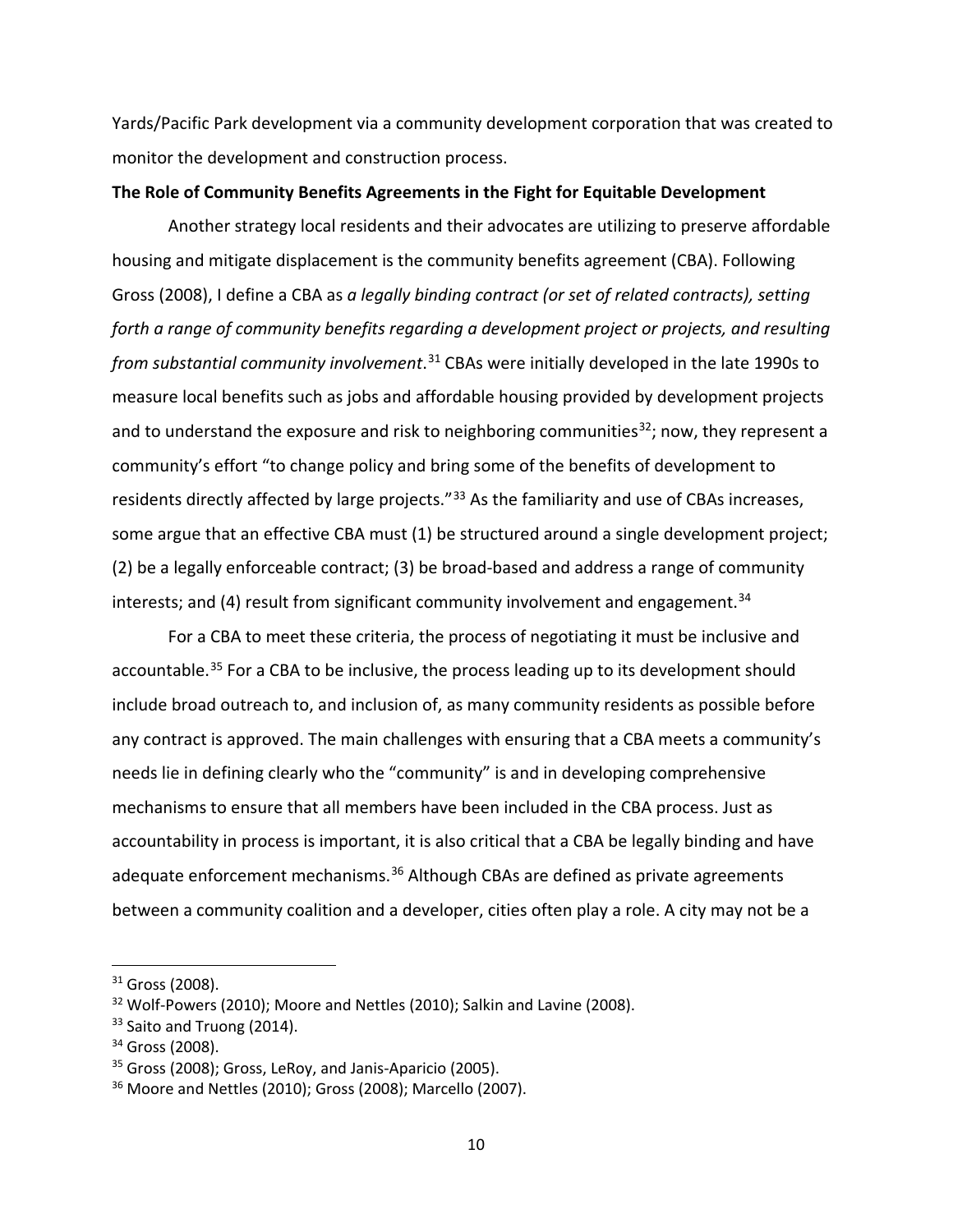Yards/Pacific Park development via a community development corporation that was created to monitor the development and construction process.

### **The Role of Community Benefits Agreements in the Fight for Equitable Development**

Another strategy local residents and their advocates are utilizing to preserve affordable housing and mitigate displacement is the community benefits agreement (CBA). Following Gross (2008), I define a CBA as *a legally binding contract (or set of related contracts), setting forth a range of community benefits regarding a development project or projects, and resulting from substantial community involvement*. [31](#page-11-0) CBAs were initially developed in the late 1990s to measure local benefits such as jobs and affordable housing provided by development projects and to understand the exposure and risk to neighboring communities<sup>32</sup>; now, they represent a community's effort "to change policy and bring some of the benefits of development to residents directly affected by large projects."<sup>[33](#page-11-2)</sup> As the familiarity and use of CBAs increases, some argue that an effective CBA must (1) be structured around a single development project; (2) be a legally enforceable contract; (3) be broad-based and address a range of community interests; and (4) result from significant community involvement and engagement.<sup>[34](#page-11-3)</sup>

For a CBA to meet these criteria, the process of negotiating it must be inclusive and accountable.<sup>[35](#page-11-4)</sup> For a CBA to be inclusive, the process leading up to its development should include broad outreach to, and inclusion of, as many community residents as possible before any contract is approved. The main challenges with ensuring that a CBA meets a community's needs lie in defining clearly who the "community" is and in developing comprehensive mechanisms to ensure that all members have been included in the CBA process. Just as accountability in process is important, it is also critical that a CBA be legally binding and have adequate enforcement mechanisms.<sup>[36](#page-11-5)</sup> Although CBAs are defined as private agreements between a community coalition and a developer, cities often play a role. A city may not be a

<span id="page-11-0"></span><sup>&</sup>lt;sup>31</sup> Gross (2008).

<span id="page-11-1"></span><sup>&</sup>lt;sup>32</sup> Wolf-Powers (2010); Moore and Nettles (2010); Salkin and Lavine (2008).

<span id="page-11-2"></span><sup>&</sup>lt;sup>33</sup> Saito and Truong (2014).

<span id="page-11-3"></span><sup>34</sup> Gross (2008).

<span id="page-11-4"></span><sup>&</sup>lt;sup>35</sup> Gross (2008); Gross, LeRoy, and Janis-Aparicio (2005).

<span id="page-11-5"></span><sup>36</sup> Moore and Nettles (2010); Gross (2008); Marcello (2007).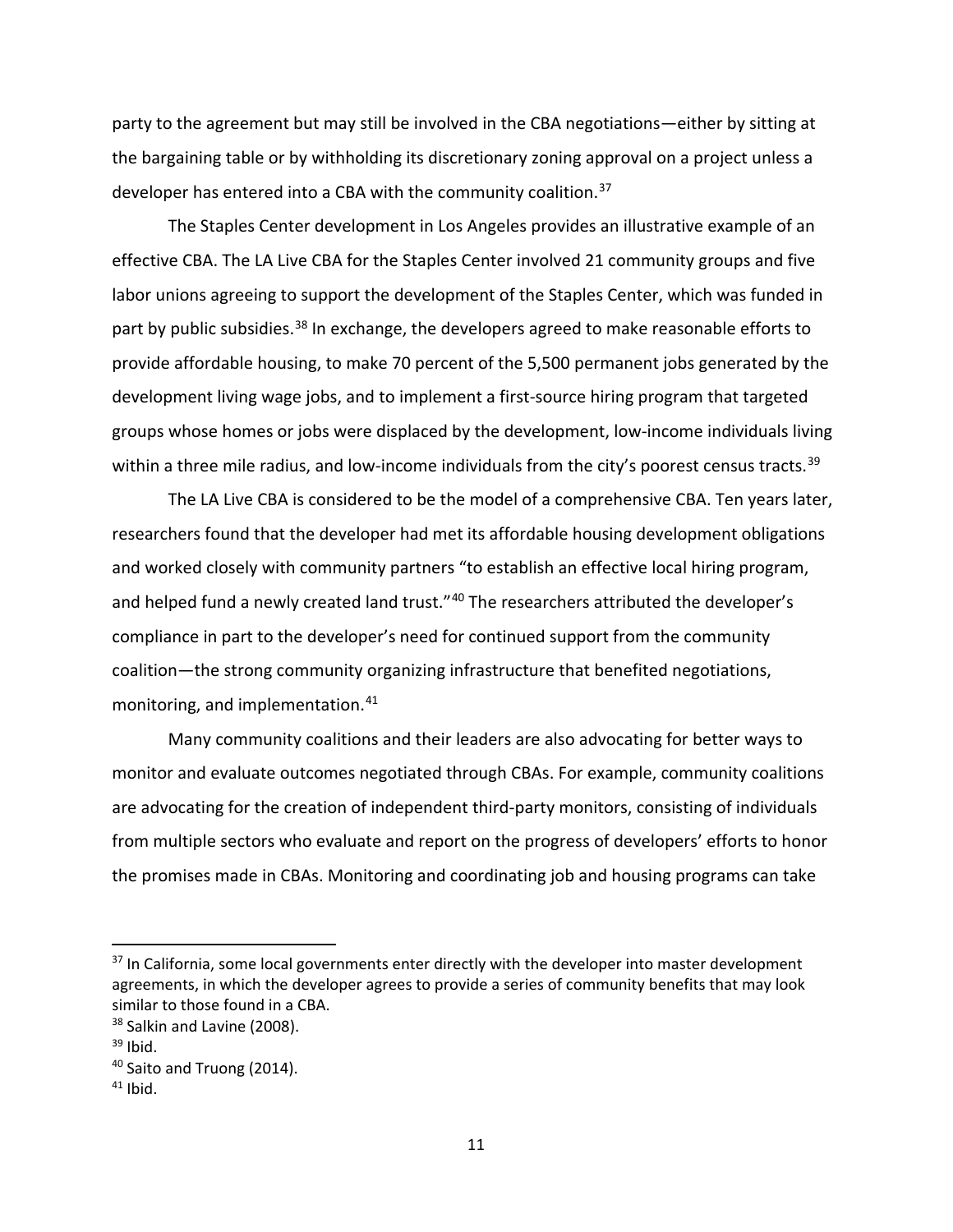party to the agreement but may still be involved in the CBA negotiations—either by sitting at the bargaining table or by withholding its discretionary zoning approval on a project unless a developer has entered into a CBA with the community coalition.<sup>[37](#page-12-0)</sup>

The Staples Center development in Los Angeles provides an illustrative example of an effective CBA. The LA Live CBA for the Staples Center involved 21 community groups and five labor unions agreeing to support the development of the Staples Center, which was funded in part by public subsidies.<sup>[38](#page-12-1)</sup> In exchange, the developers agreed to make reasonable efforts to provide affordable housing, to make 70 percent of the 5,500 permanent jobs generated by the development living wage jobs, and to implement a first-source hiring program that targeted groups whose homes or jobs were displaced by the development, low-income individuals living within a three mile radius, and low-income individuals from the city's poorest census tracts.<sup>[39](#page-12-2)</sup>

The LA Live CBA is considered to be the model of a comprehensive CBA. Ten years later, researchers found that the developer had met its affordable housing development obligations and worked closely with community partners "to establish an effective local hiring program, and helped fund a newly created land trust."<sup>[40](#page-12-3)</sup> The researchers attributed the developer's compliance in part to the developer's need for continued support from the community coalition—the strong community organizing infrastructure that benefited negotiations, monitoring, and implementation. [41](#page-12-4)

Many community coalitions and their leaders are also advocating for better ways to monitor and evaluate outcomes negotiated through CBAs. For example, community coalitions are advocating for the creation of independent third-party monitors, consisting of individuals from multiple sectors who evaluate and report on the progress of developers' efforts to honor the promises made in CBAs. Monitoring and coordinating job and housing programs can take

<span id="page-12-0"></span><sup>&</sup>lt;sup>37</sup> In California, some local governments enter directly with the developer into master development agreements, in which the developer agrees to provide a series of community benefits that may look similar to those found in a CBA.

<span id="page-12-1"></span><sup>&</sup>lt;sup>38</sup> Salkin and Lavine (2008).

<span id="page-12-2"></span> $39$  Ibid.

<span id="page-12-3"></span><sup>&</sup>lt;sup>40</sup> Saito and Truong (2014).

<span id="page-12-4"></span> $41$  Ibid.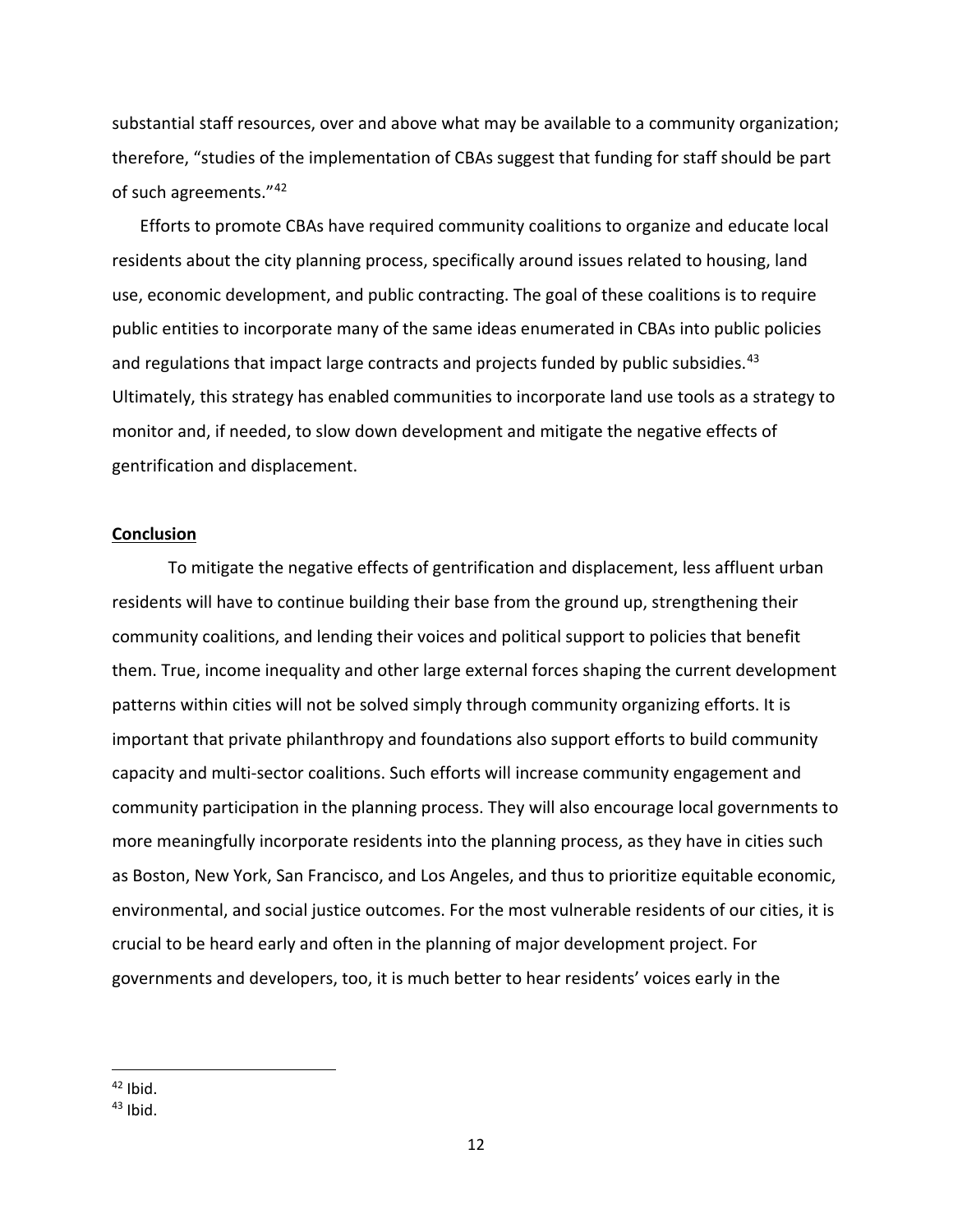substantial staff resources, over and above what may be available to a community organization; therefore, "studies of the implementation of CBAs suggest that funding for staff should be part of such agreements."[42](#page-13-0)

Efforts to promote CBAs have required community coalitions to organize and educate local residents about the city planning process, specifically around issues related to housing, land use, economic development, and public contracting. The goal of these coalitions is to require public entities to incorporate many of the same ideas enumerated in CBAs into public policies and regulations that impact large contracts and projects funded by public subsidies.<sup>[43](#page-13-1)</sup> Ultimately, this strategy has enabled communities to incorporate land use tools as a strategy to monitor and, if needed, to slow down development and mitigate the negative effects of gentrification and displacement.

#### **Conclusion**

To mitigate the negative effects of gentrification and displacement, less affluent urban residents will have to continue building their base from the ground up, strengthening their community coalitions, and lending their voices and political support to policies that benefit them. True, income inequality and other large external forces shaping the current development patterns within cities will not be solved simply through community organizing efforts. It is important that private philanthropy and foundations also support efforts to build community capacity and multi-sector coalitions. Such efforts will increase community engagement and community participation in the planning process. They will also encourage local governments to more meaningfully incorporate residents into the planning process, as they have in cities such as Boston, New York, San Francisco, and Los Angeles, and thus to prioritize equitable economic, environmental, and social justice outcomes. For the most vulnerable residents of our cities, it is crucial to be heard early and often in the planning of major development project. For governments and developers, too, it is much better to hear residents' voices early in the

<span id="page-13-0"></span> $42$  Ibid.

<span id="page-13-1"></span> $43$  Ibid.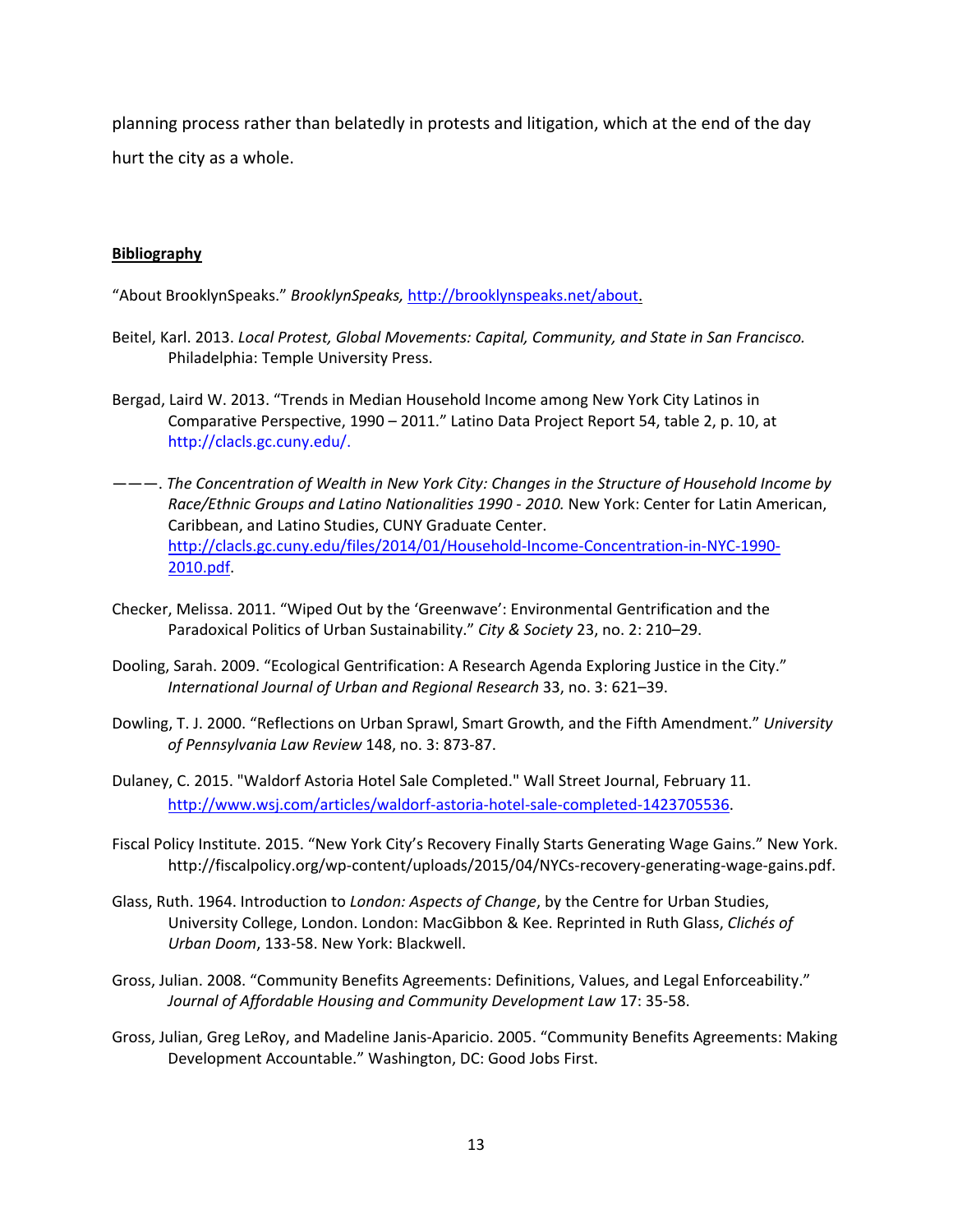planning process rather than belatedly in protests and litigation, which at the end of the day hurt the city as a whole.

## **Bibliography**

"About BrooklynSpeaks." *BrooklynSpeaks,* [http://brooklynspeaks.net/about.](http://brooklynspeaks.net/about)

- Beitel, Karl. 2013. *Local Protest, Global Movements: Capital, Community, and State in San Francisco.* Philadelphia: Temple University Press.
- Bergad, Laird W. 2013. "Trends in Median Household Income among New York City Latinos in Comparative Perspective, 1990 – 2011." Latino Data Project Report 54, table 2, p. 10, at http://clacls.gc.cuny.edu/.
- ———. *The Concentration of Wealth in New York City: Changes in the Structure of Household Income by Race/Ethnic Groups and Latino Nationalities 1990 - 2010.* New York: Center for Latin American, Caribbean, and Latino Studies, CUNY Graduate Center. [http://clacls.gc.cuny.edu/files/2014/01/Household-Income-Concentration-in-NYC-1990-](http://clacls.gc.cuny.edu/files/2014/01/Household-Income-Concentration-in-NYC-1990-2010.pdf) [2010.pdf.](http://clacls.gc.cuny.edu/files/2014/01/Household-Income-Concentration-in-NYC-1990-2010.pdf)
- Checker, Melissa. 2011. "Wiped Out by the 'Greenwave': Environmental Gentrification and the Paradoxical Politics of Urban Sustainability." *City & Society* 23, no. 2: 210–29.
- Dooling, Sarah. 2009. "Ecological Gentrification: A Research Agenda Exploring Justice in the City." *International Journal of Urban and Regional Research* 33, no. 3: 621–39.
- Dowling, T. J. 2000. "Reflections on Urban Sprawl, Smart Growth, and the Fifth Amendment." *University of Pennsylvania Law Review* 148, no. 3: 873-87.
- Dulaney, C. 2015. "Waldorf Astoria Hotel Sale Completed." Wall Street Journal, February 11. [http://www.wsj.com/articles/waldorf-astoria-hotel-sale-completed-1423705536.](http://www.wsj.com/articles/waldorf-astoria-hotel-sale-completed-1423705536)
- Fiscal Policy Institute. 2015. "New York City's Recovery Finally Starts Generating Wage Gains." New York. http://fiscalpolicy.org/wp-content/uploads/2015/04/NYCs-recovery-generating-wage-gains.pdf.
- Glass, Ruth. 1964. Introduction to *London: Aspects of Change*, by the Centre for Urban Studies, University College, London. London: MacGibbon & Kee. Reprinted in Ruth Glass, *Clichés of Urban Doom*, 133-58. New York: Blackwell.
- Gross, Julian. 2008. "Community Benefits Agreements: Definitions, Values, and Legal Enforceability." *Journal of Affordable Housing and Community Development Law* 17: 35-58.
- Gross, Julian, Greg LeRoy, and Madeline Janis-Aparicio. 2005. "Community Benefits Agreements: Making Development Accountable." Washington, DC: Good Jobs First.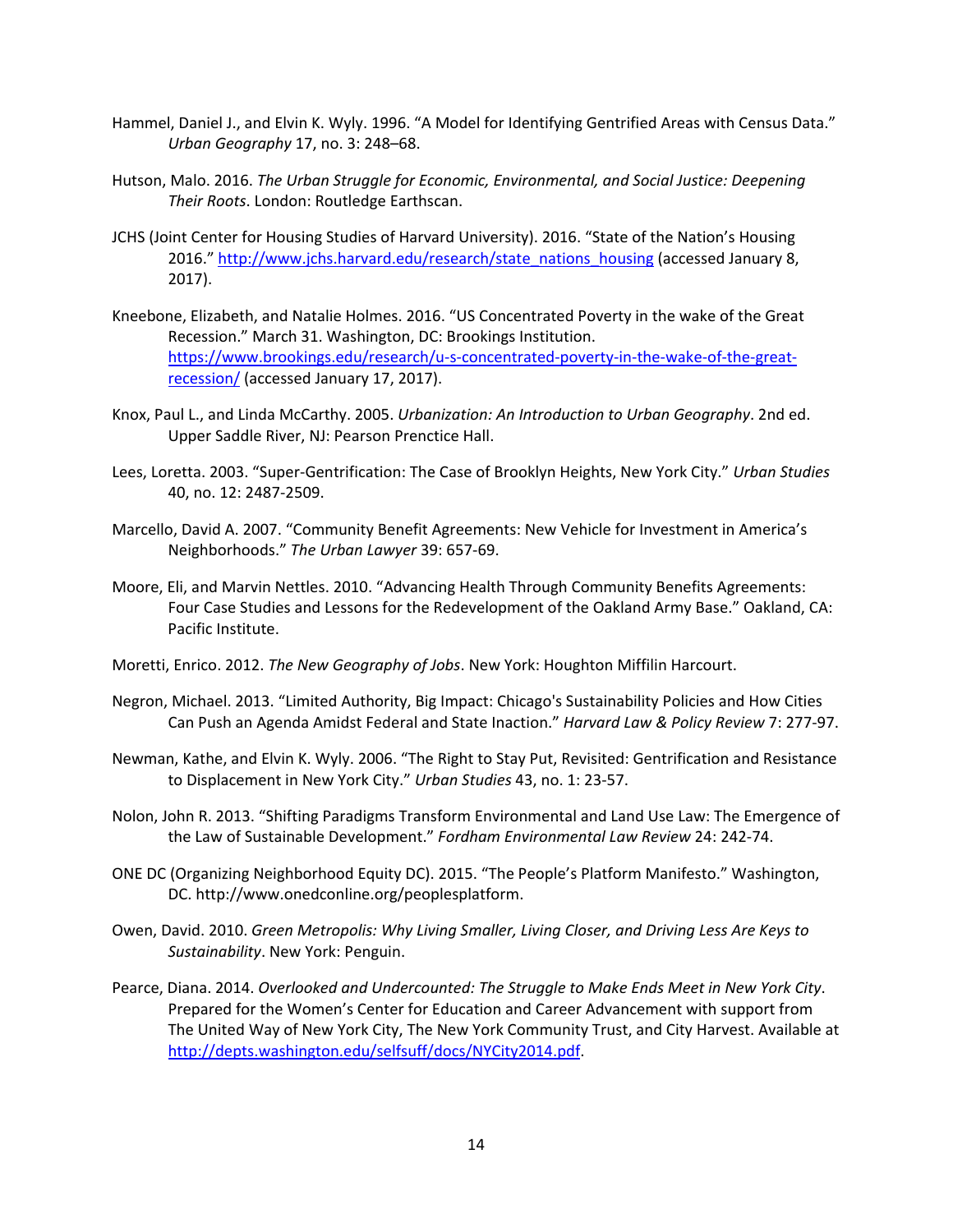- Hammel, Daniel J., and Elvin K. Wyly. 1996. "A Model for Identifying Gentrified Areas with Census Data." *Urban Geography* 17, no. 3: 248–68.
- Hutson, Malo. 2016. *The Urban Struggle for Economic, Environmental, and Social Justice: Deepening Their Roots*. London: Routledge Earthscan.
- JCHS (Joint Center for Housing Studies of Harvard University). 2016. "State of the Nation's Housing 2016." [http://www.jchs.harvard.edu/research/state\\_nations\\_housing](http://www.jchs.harvard.edu/research/state_nations_housing) (accessed January 8, 2017).
- Kneebone, Elizabeth, and Natalie Holmes. 2016. "US Concentrated Poverty in the wake of the Great Recession." March 31. Washington, DC: Brookings Institution. [https://www.brookings.edu/research/u-s-concentrated-poverty-in-the-wake-of-the-great](https://www.brookings.edu/research/u-s-concentrated-poverty-in-the-wake-of-the-great-recession/)[recession/](https://www.brookings.edu/research/u-s-concentrated-poverty-in-the-wake-of-the-great-recession/) (accessed January 17, 2017).
- Knox, Paul L., and Linda McCarthy. 2005. *Urbanization: An Introduction to Urban Geography*. 2nd ed. Upper Saddle River, NJ: Pearson Prenctice Hall.
- Lees, Loretta. 2003. "Super-Gentrification: The Case of Brooklyn Heights, New York City." *Urban Studies* 40, no. 12: 2487-2509.
- Marcello, David A. 2007. "Community Benefit Agreements: New Vehicle for Investment in America's Neighborhoods." *The Urban Lawyer* 39: 657-69.
- Moore, Eli, and Marvin Nettles. 2010. "Advancing Health Through Community Benefits Agreements: Four Case Studies and Lessons for the Redevelopment of the Oakland Army Base." Oakland, CA: Pacific Institute.
- Moretti, Enrico. 2012. *The New Geography of Jobs*. New York: Houghton Miffilin Harcourt.
- Negron, Michael. 2013. "Limited Authority, Big Impact: Chicago's Sustainability Policies and How Cities Can Push an Agenda Amidst Federal and State Inaction." *Harvard Law & Policy Review* 7: 277-97.
- Newman, Kathe, and Elvin K. Wyly. 2006. "The Right to Stay Put, Revisited: Gentrification and Resistance to Displacement in New York City." *Urban Studies* 43, no. 1: 23-57.
- Nolon, John R. 2013. "Shifting Paradigms Transform Environmental and Land Use Law: The Emergence of the Law of Sustainable Development." *Fordham Environmental Law Review* 24: 242-74.
- ONE DC (Organizing Neighborhood Equity DC). 2015. "The People's Platform Manifesto." Washington, DC. http://www.onedconline.org/peoplesplatform.
- Owen, David. 2010. *Green Metropolis: Why Living Smaller, Living Closer, and Driving Less Are Keys to Sustainability*. New York: Penguin.
- Pearce, Diana. 2014. *Overlooked and Undercounted: The Struggle to Make Ends Meet in New York City*. Prepared for the Women's Center for Education and Career Advancement with support from The United Way of New York City, The New York Community Trust, and City Harvest. Available at [http://depts.washington.edu/selfsuff/docs/NYCity2014.pdf.](http://depts.washington.edu/selfsuff/docs/NYCity2014.pdf)